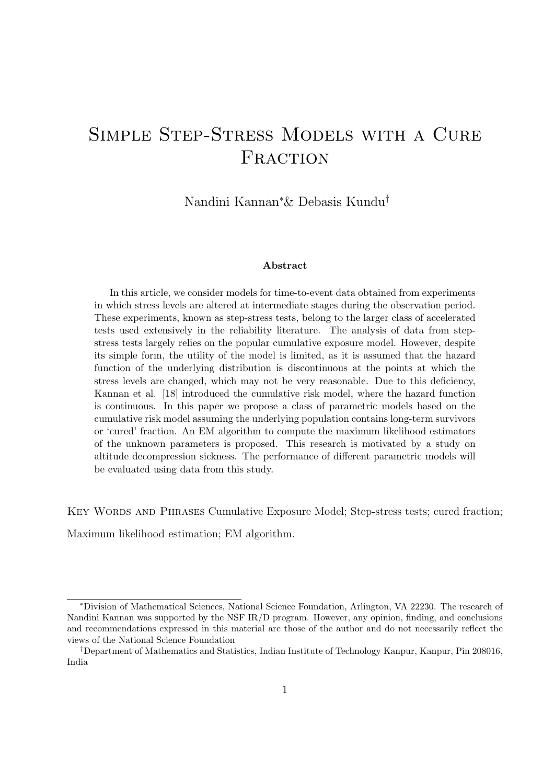# Simple Step-Stress Models with a Cure FRACTION

Nandini Kannan<sup>∗</sup>& Debasis Kundu†

#### Abstract

In this article, we consider models for time-to-event data obtained from experiments in which stress levels are altered at intermediate stages during the observation period. These experiments, known as step-stress tests, belong to the larger class of accelerated tests used extensively in the reliability literature. The analysis of data from stepstress tests largely relies on the popular cumulative exposure model. However, despite its simple form, the utility of the model is limited, as it is assumed that the hazard function of the underlying distribution is discontinuous at the points at which the stress levels are changed, which may not be very reasonable. Due to this deficiency, Kannan et al. [18] introduced the cumulative risk model, where the hazard function is continuous. In this paper we propose a class of parametric models based on the cumulative risk model assuming the underlying population contains long-term survivors or 'cured' fraction. An EM algorithm to compute the maximum likelihood estimators of the unknown parameters is proposed. This research is motivated by a study on altitude decompression sickness. The performance of different parametric models will be evaluated using data from this study.

KEY WORDS AND PHRASES Cumulative Exposure Model; Step-stress tests; cured fraction;

Maximum likelihood estimation; EM algorithm.

<sup>∗</sup>Division of Mathematical Sciences, National Science Foundation, Arlington, VA 22230. The research of Nandini Kannan was supported by the NSF IR/D program. However, any opinion, finding, and conclusions and recommendations expressed in this material are those of the author and do not necessarily reflect the views of the National Science Foundation

<sup>†</sup>Department of Mathematics and Statistics, Indian Institute of Technology Kanpur, Kanpur, Pin 208016, India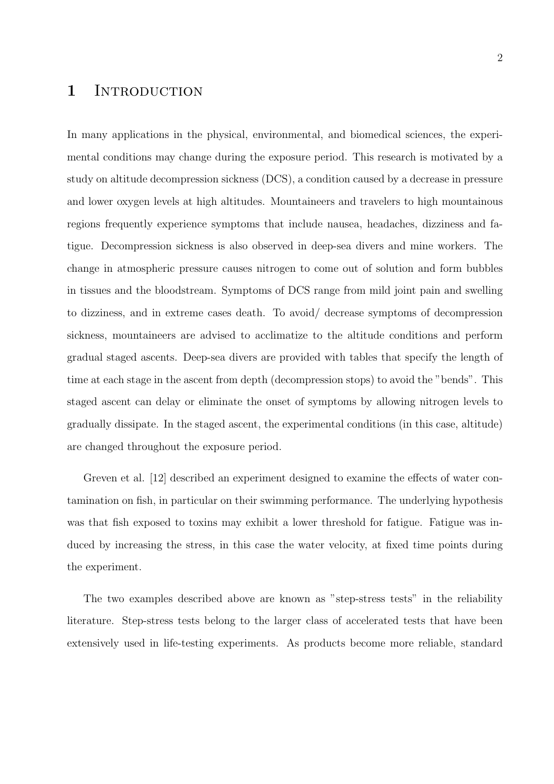## 1 INTRODUCTION

In many applications in the physical, environmental, and biomedical sciences, the experimental conditions may change during the exposure period. This research is motivated by a study on altitude decompression sickness (DCS), a condition caused by a decrease in pressure and lower oxygen levels at high altitudes. Mountaineers and travelers to high mountainous regions frequently experience symptoms that include nausea, headaches, dizziness and fatigue. Decompression sickness is also observed in deep-sea divers and mine workers. The change in atmospheric pressure causes nitrogen to come out of solution and form bubbles in tissues and the bloodstream. Symptoms of DCS range from mild joint pain and swelling to dizziness, and in extreme cases death. To avoid/ decrease symptoms of decompression sickness, mountaineers are advised to acclimatize to the altitude conditions and perform gradual staged ascents. Deep-sea divers are provided with tables that specify the length of time at each stage in the ascent from depth (decompression stops) to avoid the "bends". This staged ascent can delay or eliminate the onset of symptoms by allowing nitrogen levels to gradually dissipate. In the staged ascent, the experimental conditions (in this case, altitude) are changed throughout the exposure period.

Greven et al. [12] described an experiment designed to examine the effects of water contamination on fish, in particular on their swimming performance. The underlying hypothesis was that fish exposed to toxins may exhibit a lower threshold for fatigue. Fatigue was induced by increasing the stress, in this case the water velocity, at fixed time points during the experiment.

The two examples described above are known as "step-stress tests" in the reliability literature. Step-stress tests belong to the larger class of accelerated tests that have been extensively used in life-testing experiments. As products become more reliable, standard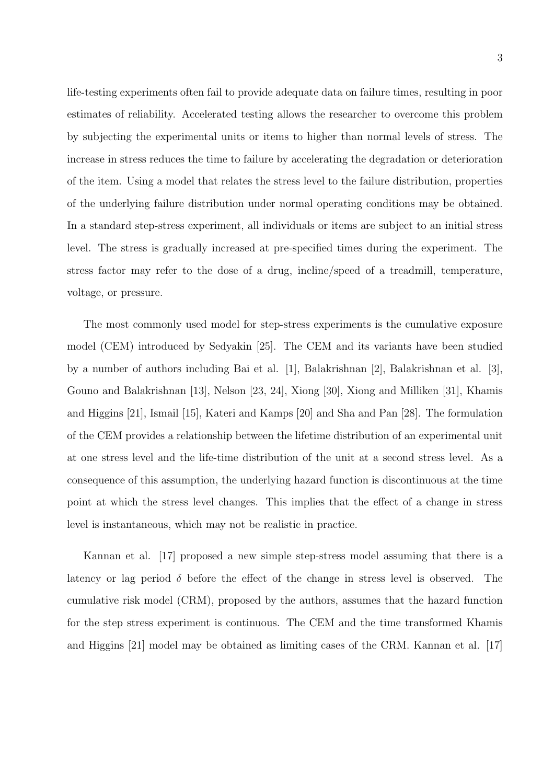life-testing experiments often fail to provide adequate data on failure times, resulting in poor estimates of reliability. Accelerated testing allows the researcher to overcome this problem by subjecting the experimental units or items to higher than normal levels of stress. The increase in stress reduces the time to failure by accelerating the degradation or deterioration of the item. Using a model that relates the stress level to the failure distribution, properties of the underlying failure distribution under normal operating conditions may be obtained. In a standard step-stress experiment, all individuals or items are subject to an initial stress level. The stress is gradually increased at pre-specified times during the experiment. The stress factor may refer to the dose of a drug, incline/speed of a treadmill, temperature, voltage, or pressure.

The most commonly used model for step-stress experiments is the cumulative exposure model (CEM) introduced by Sedyakin [25]. The CEM and its variants have been studied by a number of authors including Bai et al. [1], Balakrishnan [2], Balakrishnan et al. [3], Gouno and Balakrishnan [13], Nelson [23, 24], Xiong [30], Xiong and Milliken [31], Khamis and Higgins [21], Ismail [15], Kateri and Kamps [20] and Sha and Pan [28]. The formulation of the CEM provides a relationship between the lifetime distribution of an experimental unit at one stress level and the life-time distribution of the unit at a second stress level. As a consequence of this assumption, the underlying hazard function is discontinuous at the time point at which the stress level changes. This implies that the effect of a change in stress level is instantaneous, which may not be realistic in practice.

Kannan et al. [17] proposed a new simple step-stress model assuming that there is a latency or lag period  $\delta$  before the effect of the change in stress level is observed. The cumulative risk model (CRM), proposed by the authors, assumes that the hazard function for the step stress experiment is continuous. The CEM and the time transformed Khamis and Higgins [21] model may be obtained as limiting cases of the CRM. Kannan et al. [17]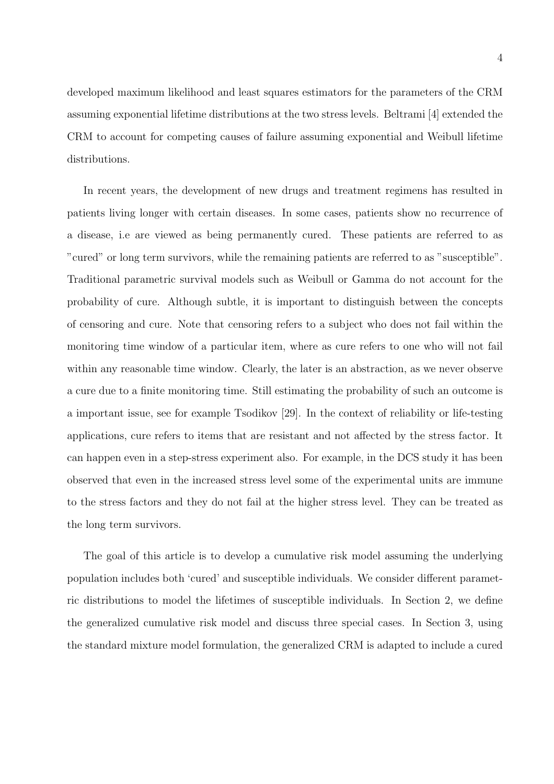developed maximum likelihood and least squares estimators for the parameters of the CRM assuming exponential lifetime distributions at the two stress levels. Beltrami [4] extended the CRM to account for competing causes of failure assuming exponential and Weibull lifetime distributions.

In recent years, the development of new drugs and treatment regimens has resulted in patients living longer with certain diseases. In some cases, patients show no recurrence of a disease, i.e are viewed as being permanently cured. These patients are referred to as "cured" or long term survivors, while the remaining patients are referred to as "susceptible". Traditional parametric survival models such as Weibull or Gamma do not account for the probability of cure. Although subtle, it is important to distinguish between the concepts of censoring and cure. Note that censoring refers to a subject who does not fail within the monitoring time window of a particular item, where as cure refers to one who will not fail within any reasonable time window. Clearly, the later is an abstraction, as we never observe a cure due to a finite monitoring time. Still estimating the probability of such an outcome is a important issue, see for example Tsodikov [29]. In the context of reliability or life-testing applications, cure refers to items that are resistant and not affected by the stress factor. It can happen even in a step-stress experiment also. For example, in the DCS study it has been observed that even in the increased stress level some of the experimental units are immune to the stress factors and they do not fail at the higher stress level. They can be treated as the long term survivors.

The goal of this article is to develop a cumulative risk model assuming the underlying population includes both 'cured' and susceptible individuals. We consider different parametric distributions to model the lifetimes of susceptible individuals. In Section 2, we define the generalized cumulative risk model and discuss three special cases. In Section 3, using the standard mixture model formulation, the generalized CRM is adapted to include a cured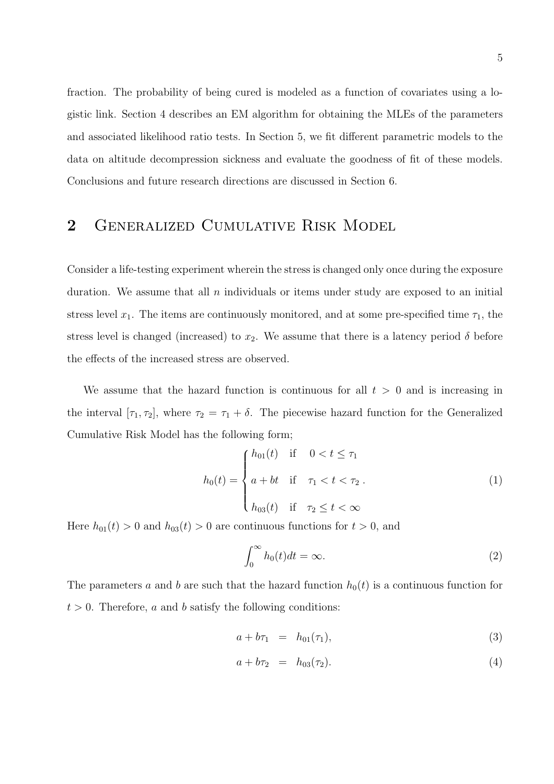fraction. The probability of being cured is modeled as a function of covariates using a logistic link. Section 4 describes an EM algorithm for obtaining the MLEs of the parameters and associated likelihood ratio tests. In Section 5, we fit different parametric models to the data on altitude decompression sickness and evaluate the goodness of fit of these models. Conclusions and future research directions are discussed in Section 6.

## 2 Generalized Cumulative Risk Model

Consider a life-testing experiment wherein the stress is changed only once during the exposure duration. We assume that all  $n$  individuals or items under study are exposed to an initial stress level  $x_1$ . The items are continuously monitored, and at some pre-specified time  $\tau_1$ , the stress level is changed (increased) to  $x_2$ . We assume that there is a latency period  $\delta$  before the effects of the increased stress are observed.

We assume that the hazard function is continuous for all  $t > 0$  and is increasing in the interval  $[\tau_1, \tau_2]$ , where  $\tau_2 = \tau_1 + \delta$ . The piecewise hazard function for the Generalized Cumulative Risk Model has the following form;

$$
h_0(t) = \begin{cases} h_{01}(t) & \text{if } 0 < t \le \tau_1 \\ a + bt & \text{if } \tau_1 < t < \tau_2 \\ h_{03}(t) & \text{if } \tau_2 \le t < \infty \end{cases}
$$
 (1)

Here  $h_{01}(t) > 0$  and  $h_{03}(t) > 0$  are continuous functions for  $t > 0$ , and

$$
\int_0^\infty h_0(t)dt = \infty.
$$
 (2)

The parameters a and b are such that the hazard function  $h_0(t)$  is a continuous function for  $t > 0$ . Therefore, a and b satisfy the following conditions:

$$
a + b\tau_1 = h_{01}(\tau_1), \tag{3}
$$

$$
a + b\tau_2 = h_{03}(\tau_2). \tag{4}
$$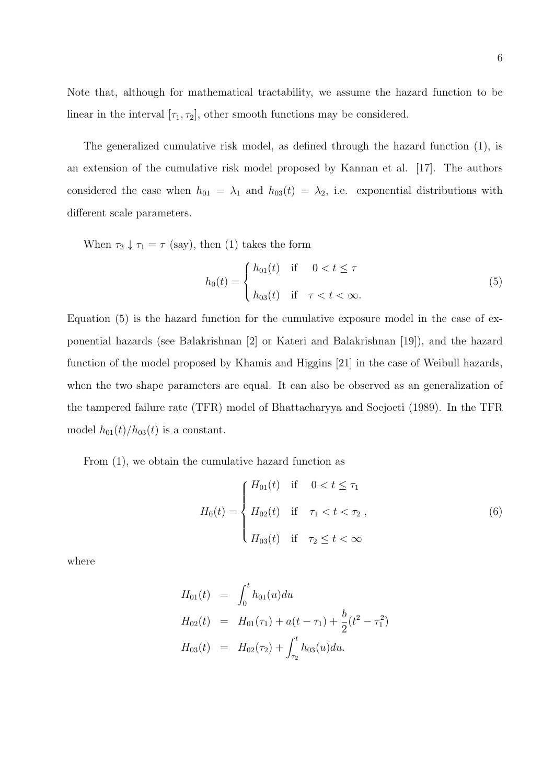Note that, although for mathematical tractability, we assume the hazard function to be linear in the interval  $[\tau_1, \tau_2]$ , other smooth functions may be considered.

The generalized cumulative risk model, as defined through the hazard function (1), is an extension of the cumulative risk model proposed by Kannan et al. [17]. The authors considered the case when  $h_{01} = \lambda_1$  and  $h_{03}(t) = \lambda_2$ , i.e. exponential distributions with different scale parameters.

When  $\tau_2 \downarrow \tau_1 = \tau$  (say), then (1) takes the form

$$
h_0(t) = \begin{cases} h_{01}(t) & \text{if } 0 < t \le \tau \\ h_{03}(t) & \text{if } \tau < t < \infty. \end{cases} \tag{5}
$$

Equation (5) is the hazard function for the cumulative exposure model in the case of exponential hazards (see Balakrishnan [2] or Kateri and Balakrishnan [19]), and the hazard function of the model proposed by Khamis and Higgins [21] in the case of Weibull hazards, when the two shape parameters are equal. It can also be observed as an generalization of the tampered failure rate (TFR) model of Bhattacharyya and Soejoeti (1989). In the TFR model  $h_{01}(t)/h_{03}(t)$  is a constant.

From (1), we obtain the cumulative hazard function as

$$
H_0(t) = \begin{cases} H_{01}(t) & \text{if } 0 < t \le \tau_1 \\ H_{02}(t) & \text{if } \tau_1 < t < \tau_2, \\ H_{03}(t) & \text{if } \tau_2 \le t < \infty \end{cases}
$$
 (6)

where

$$
H_{01}(t) = \int_0^t h_{01}(u) du
$$
  
\n
$$
H_{02}(t) = H_{01}(\tau_1) + a(t - \tau_1) + \frac{b}{2}(t^2 - \tau_1^2)
$$
  
\n
$$
H_{03}(t) = H_{02}(\tau_2) + \int_{\tau_2}^t h_{03}(u) du.
$$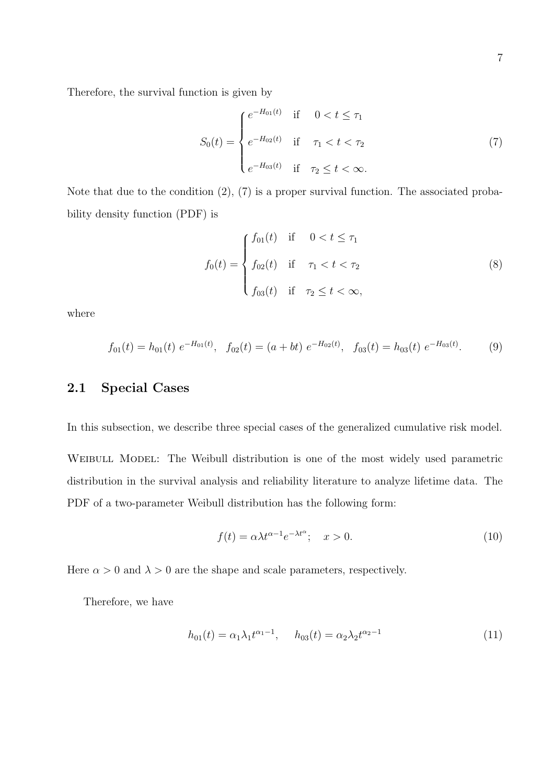Therefore, the survival function is given by

$$
S_0(t) = \begin{cases} e^{-H_{01}(t)} & \text{if } 0 < t \le \tau_1 \\ e^{-H_{02}(t)} & \text{if } \tau_1 < t < \tau_2 \\ e^{-H_{03}(t)} & \text{if } \tau_2 \le t < \infty. \end{cases}
$$
 (7)

Note that due to the condition (2), (7) is a proper survival function. The associated probability density function (PDF) is

$$
f_0(t) = \begin{cases} f_{01}(t) & \text{if } 0 < t \le \tau_1 \\ f_{02}(t) & \text{if } \tau_1 < t < \tau_2 \\ f_{03}(t) & \text{if } \tau_2 \le t < \infty, \end{cases}
$$
 (8)

where

$$
f_{01}(t) = h_{01}(t) e^{-H_{01}(t)}, \quad f_{02}(t) = (a + bt) e^{-H_{02}(t)}, \quad f_{03}(t) = h_{03}(t) e^{-H_{03}(t)}.
$$
 (9)

### 2.1 Special Cases

In this subsection, we describe three special cases of the generalized cumulative risk model.

WEIBULL MODEL: The Weibull distribution is one of the most widely used parametric distribution in the survival analysis and reliability literature to analyze lifetime data. The PDF of a two-parameter Weibull distribution has the following form:

$$
f(t) = \alpha \lambda t^{\alpha - 1} e^{-\lambda t^{\alpha}}; \quad x > 0.
$$
 (10)

Here  $\alpha > 0$  and  $\lambda > 0$  are the shape and scale parameters, respectively.

Therefore, we have

$$
h_{01}(t) = \alpha_1 \lambda_1 t^{\alpha_1 - 1}, \quad h_{03}(t) = \alpha_2 \lambda_2 t^{\alpha_2 - 1} \tag{11}
$$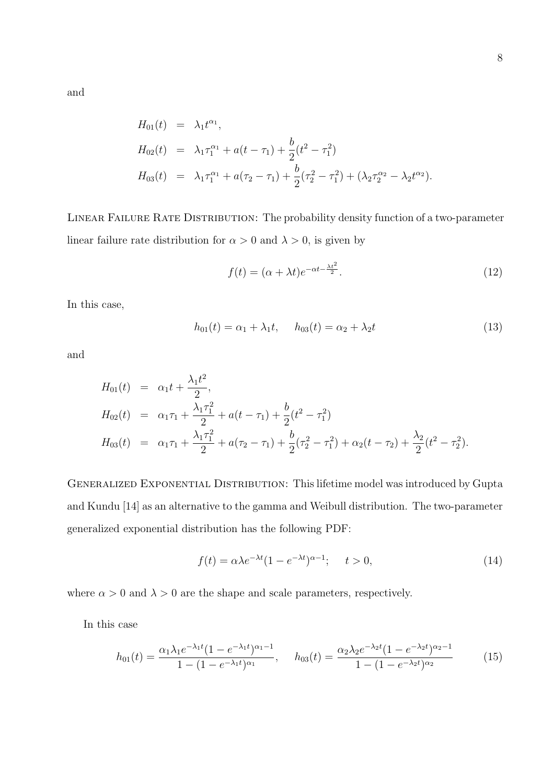and

$$
H_{01}(t) = \lambda_1 t^{\alpha_1},
$$
  
\n
$$
H_{02}(t) = \lambda_1 \tau_1^{\alpha_1} + a(t - \tau_1) + \frac{b}{2} (t^2 - \tau_1^2)
$$
  
\n
$$
H_{03}(t) = \lambda_1 \tau_1^{\alpha_1} + a(\tau_2 - \tau_1) + \frac{b}{2} (\tau_2^2 - \tau_1^2) + (\lambda_2 \tau_2^{\alpha_2} - \lambda_2 t^{\alpha_2}).
$$

LINEAR FAILURE RATE DISTRIBUTION: The probability density function of a two-parameter linear failure rate distribution for  $\alpha > 0$  and  $\lambda > 0$ , is given by

$$
f(t) = (\alpha + \lambda t)e^{-\alpha t - \frac{\lambda t^2}{2}}.
$$
\n(12)

In this case,

$$
h_{01}(t) = \alpha_1 + \lambda_1 t, \quad h_{03}(t) = \alpha_2 + \lambda_2 t \tag{13}
$$

and

$$
H_{01}(t) = \alpha_1 t + \frac{\lambda_1 t^2}{2},
$$
  
\n
$$
H_{02}(t) = \alpha_1 \tau_1 + \frac{\lambda_1 \tau_1^2}{2} + a(t - \tau_1) + \frac{b}{2} (t^2 - \tau_1^2)
$$
  
\n
$$
H_{03}(t) = \alpha_1 \tau_1 + \frac{\lambda_1 \tau_1^2}{2} + a(\tau_2 - \tau_1) + \frac{b}{2} (\tau_2^2 - \tau_1^2) + \alpha_2 (t - \tau_2) + \frac{\lambda_2}{2} (t^2 - \tau_2^2).
$$

GENERALIZED EXPONENTIAL DISTRIBUTION: This lifetime model was introduced by Gupta and Kundu [14] as an alternative to the gamma and Weibull distribution. The two-parameter generalized exponential distribution has the following PDF:

$$
f(t) = \alpha \lambda e^{-\lambda t} (1 - e^{-\lambda t})^{\alpha - 1}; \quad t > 0,
$$
\n(14)

where  $\alpha > 0$  and  $\lambda > 0$  are the shape and scale parameters, respectively.

In this case

$$
h_{01}(t) = \frac{\alpha_1 \lambda_1 e^{-\lambda_1 t} (1 - e^{-\lambda_1 t})^{\alpha_1 - 1}}{1 - (1 - e^{-\lambda_1 t})^{\alpha_1}}, \quad h_{03}(t) = \frac{\alpha_2 \lambda_2 e^{-\lambda_2 t} (1 - e^{-\lambda_2 t})^{\alpha_2 - 1}}{1 - (1 - e^{-\lambda_2 t})^{\alpha_2}}
$$
(15)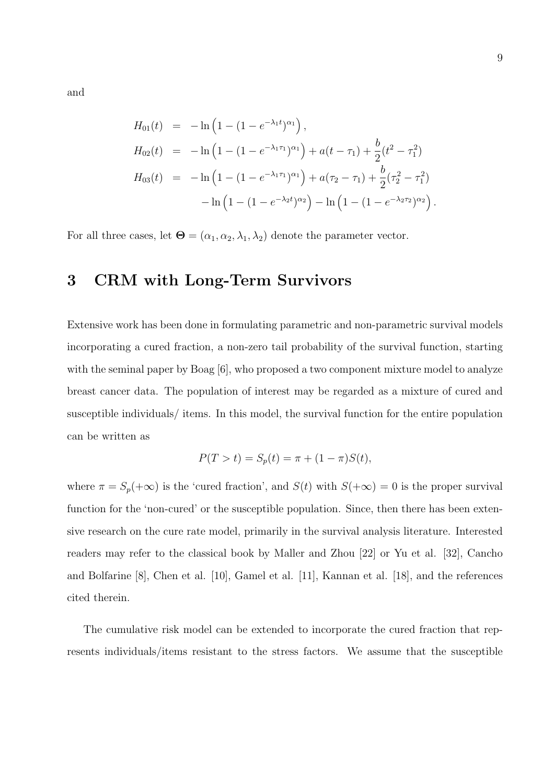and

$$
H_{01}(t) = -\ln\left(1 - (1 - e^{-\lambda_1 t})^{\alpha_1}\right),
$$
  
\n
$$
H_{02}(t) = -\ln\left(1 - (1 - e^{-\lambda_1 \tau_1})^{\alpha_1}\right) + a(t - \tau_1) + \frac{b}{2}(t^2 - \tau_1^2)
$$
  
\n
$$
H_{03}(t) = -\ln\left(1 - (1 - e^{-\lambda_1 \tau_1})^{\alpha_1}\right) + a(\tau_2 - \tau_1) + \frac{b}{2}(\tau_2^2 - \tau_1^2)
$$
  
\n
$$
-\ln\left(1 - (1 - e^{-\lambda_2 t})^{\alpha_2}\right) - \ln\left(1 - (1 - e^{-\lambda_2 \tau_2})^{\alpha_2}\right).
$$

For all three cases, let  $\mathbf{\Theta} = (\alpha_1, \alpha_2, \lambda_1, \lambda_2)$  denote the parameter vector.

## 3 CRM with Long-Term Survivors

Extensive work has been done in formulating parametric and non-parametric survival models incorporating a cured fraction, a non-zero tail probability of the survival function, starting with the seminal paper by Boag [6], who proposed a two component mixture model to analyze breast cancer data. The population of interest may be regarded as a mixture of cured and susceptible individuals/ items. In this model, the survival function for the entire population can be written as

$$
P(T > t) = S_p(t) = \pi + (1 - \pi)S(t),
$$

where  $\pi = S_p(+\infty)$  is the 'cured fraction', and  $S(t)$  with  $S(+\infty) = 0$  is the proper survival function for the 'non-cured' or the susceptible population. Since, then there has been extensive research on the cure rate model, primarily in the survival analysis literature. Interested readers may refer to the classical book by Maller and Zhou [22] or Yu et al. [32], Cancho and Bolfarine [8], Chen et al. [10], Gamel et al. [11], Kannan et al. [18], and the references cited therein.

The cumulative risk model can be extended to incorporate the cured fraction that represents individuals/items resistant to the stress factors. We assume that the susceptible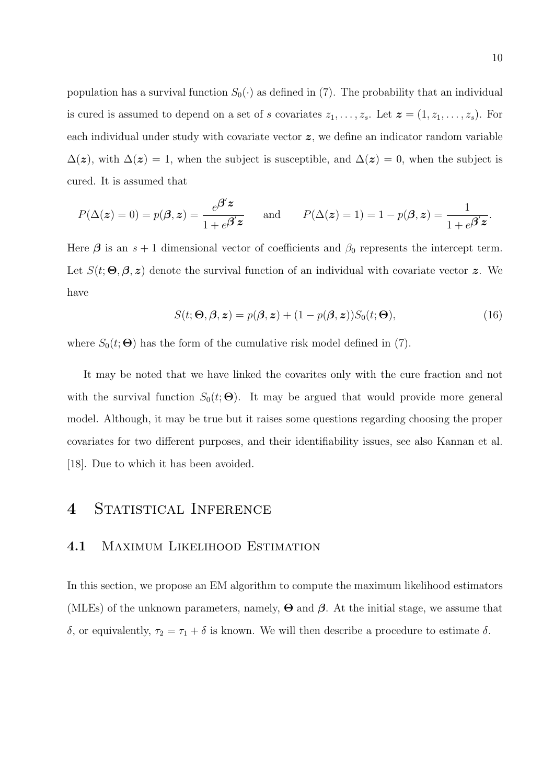population has a survival function  $S_0(\cdot)$  as defined in (7). The probability that an individual is cured is assumed to depend on a set of s covariates  $z_1, \ldots, z_s$ . Let  $\boldsymbol{z} = (1, z_1, \ldots, z_s)$ . For each individual under study with covariate vector  $z$ , we define an indicator random variable  $\Delta(z)$ , with  $\Delta(z) = 1$ , when the subject is susceptible, and  $\Delta(z) = 0$ , when the subject is cured. It is assumed that

$$
P(\Delta(z) = 0) = p(\boldsymbol{\beta}, z) = \frac{e^{\boldsymbol{\beta}' z}}{1 + e^{\boldsymbol{\beta}' z}} \quad \text{and} \quad P(\Delta(z) = 1) = 1 - p(\boldsymbol{\beta}, z) = \frac{1}{1 + e^{\boldsymbol{\beta}' z}}.
$$

Here  $\beta$  is an  $s + 1$  dimensional vector of coefficients and  $\beta_0$  represents the intercept term. Let  $S(t; \Theta, \beta, z)$  denote the survival function of an individual with covariate vector z. We have

$$
S(t; \Theta, \beta, z) = p(\beta, z) + (1 - p(\beta, z))S_0(t; \Theta),
$$
\n(16)

where  $S_0(t; \Theta)$  has the form of the cumulative risk model defined in (7).

It may be noted that we have linked the covarites only with the cure fraction and not with the survival function  $S_0(t; \Theta)$ . It may be argued that would provide more general model. Although, it may be true but it raises some questions regarding choosing the proper covariates for two different purposes, and their identifiability issues, see also Kannan et al. [18]. Due to which it has been avoided.

## 4 STATISTICAL INFERENCE

#### 4.1 Maximum Likelihood Estimation

In this section, we propose an EM algorithm to compute the maximum likelihood estimators (MLEs) of the unknown parameters, namely,  $\Theta$  and  $\beta$ . At the initial stage, we assume that δ, or equivalently,  $τ_2 = τ_1 + δ$  is known. We will then describe a procedure to estimate δ.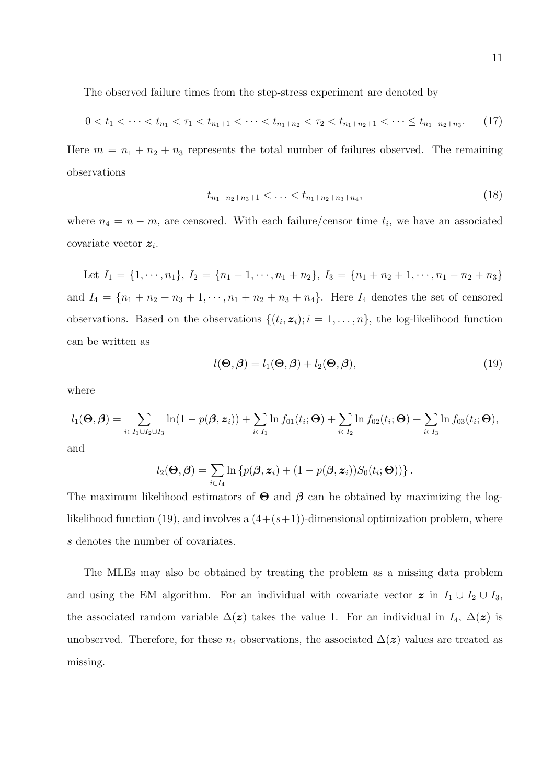The observed failure times from the step-stress experiment are denoted by

$$
0 < t_1 < \dots < t_{n_1} < \tau_1 < t_{n_1+1} < \dots < t_{n_1+n_2} < \tau_2 < t_{n_1+n_2+1} < \dots \le t_{n_1+n_2+n_3}.\tag{17}
$$

Here  $m = n_1 + n_2 + n_3$  represents the total number of failures observed. The remaining observations

$$
t_{n_1+n_2+n_3+1} < \ldots < t_{n_1+n_2+n_3+n_4},\tag{18}
$$

where  $n_4 = n - m$ , are censored. With each failure/censor time  $t_i$ , we have an associated covariate vector  $z_i$ .

Let  $I_1 = \{1, \dots, n_1\}, I_2 = \{n_1 + 1, \dots, n_1 + n_2\}, I_3 = \{n_1 + n_2 + 1, \dots, n_1 + n_2 + n_3\}$ and  $I_4 = \{n_1 + n_2 + n_3 + 1, \dots, n_1 + n_2 + n_3 + n_4\}$ . Here  $I_4$  denotes the set of censored observations. Based on the observations  $\{(t_i, z_i); i = 1, \ldots, n\}$ , the log-likelihood function can be written as

$$
l(\mathbf{\Theta}, \mathbf{\beta}) = l_1(\mathbf{\Theta}, \mathbf{\beta}) + l_2(\mathbf{\Theta}, \mathbf{\beta}), \tag{19}
$$

where

$$
l_1(\Theta, \beta) = \sum_{i \in I_1 \cup I_2 \cup I_3} \ln(1 - p(\beta, \mathbf{z}_i)) + \sum_{i \in I_1} \ln f_{01}(t_i; \Theta) + \sum_{i \in I_2} \ln f_{02}(t_i; \Theta) + \sum_{i \in I_3} \ln f_{03}(t_i; \Theta),
$$

and

$$
l_2(\boldsymbol{\Theta}, \boldsymbol{\beta}) = \sum_{i \in I_4} \ln \left\{ p(\boldsymbol{\beta}, \boldsymbol{z}_i) + (1 - p(\boldsymbol{\beta}, \boldsymbol{z}_i)) S_0(t_i; \boldsymbol{\Theta}) \right) \right\}.
$$

The maximum likelihood estimators of  $\Theta$  and  $\beta$  can be obtained by maximizing the loglikelihood function (19), and involves a  $(4+(s+1))$ -dimensional optimization problem, where s denotes the number of covariates.

The MLEs may also be obtained by treating the problem as a missing data problem and using the EM algorithm. For an individual with covariate vector  $\boldsymbol{z}$  in  $I_1 \cup I_2 \cup I_3$ , the associated random variable  $\Delta(z)$  takes the value 1. For an individual in  $I_4$ ,  $\Delta(z)$  is unobserved. Therefore, for these  $n_4$  observations, the associated  $\Delta(z)$  values are treated as missing.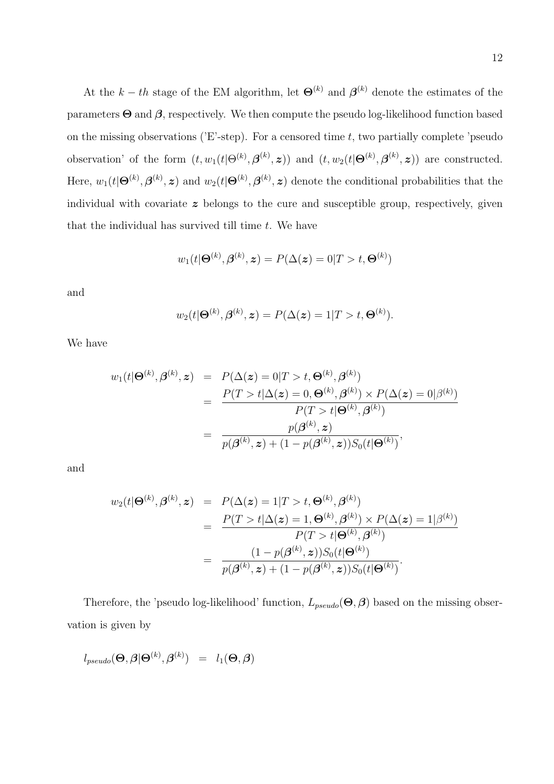At the  $k-th$  stage of the EM algorithm, let  $\Theta^{(k)}$  and  $\beta^{(k)}$  denote the estimates of the parameters  $\Theta$  and  $\beta$ , respectively. We then compute the pseudo log-likelihood function based on the missing observations ( $E$ -step). For a censored time t, two partially complete 'pseudo observation' of the form  $(t, w_1(t | \Theta^{(k)}, \beta^{(k)}, z))$  and  $(t, w_2(t | \Theta^{(k)}, \beta^{(k)}, z))$  are constructed. Here,  $w_1(t|\Theta^{(k)},\beta^{(k)},z)$  and  $w_2(t|\Theta^{(k)},\beta^{(k)},z)$  denote the conditional probabilities that the individual with covariate  $z$  belongs to the cure and susceptible group, respectively, given that the individual has survived till time  $t$ . We have

$$
w_1(t|\mathbf{\Theta}^{(k)}, \mathbf{\beta}^{(k)}, \mathbf{z}) = P(\Delta(\mathbf{z}) = 0|T > t, \mathbf{\Theta}^{(k)})
$$

and

$$
w_2(t|\Theta^{(k)},\beta^{(k)},\boldsymbol{z})=P(\Delta(\boldsymbol{z})=1|T>t,\Theta^{(k)}).
$$

We have

$$
w_1(t|\Theta^{(k)},\beta^{(k)},\mathbf{z}) = P(\Delta(\mathbf{z})=0|T>t,\Theta^{(k)},\beta^{(k)})
$$
  
= 
$$
\frac{P(T>t|\Delta(\mathbf{z})=0,\Theta^{(k)},\beta^{(k)}) \times P(\Delta(\mathbf{z})=0|\beta^{(k)})}{P(T>t|\Theta^{(k)},\beta^{(k)})}
$$
  
= 
$$
\frac{p(\beta^{(k)},\mathbf{z})}{p(\beta^{(k)},\mathbf{z})+(1-p(\beta^{(k)},\mathbf{z}))S_0(t|\Theta^{(k)})},
$$

and

$$
w_2(t|\Theta^{(k)},\beta^{(k)},z) = P(\Delta(z) = 1|T > t, \Theta^{(k)},\beta^{(k)})
$$
  
= 
$$
\frac{P(T > t|\Delta(z) = 1, \Theta^{(k)},\beta^{(k)}) \times P(\Delta(z) = 1|\beta^{(k)})}{P(T > t|\Theta^{(k)},\beta^{(k)})}
$$
  
= 
$$
\frac{(1 - p(\beta^{(k)},z))S_0(t|\Theta^{(k)})}{p(\beta^{(k)},z) + (1 - p(\beta^{(k)},z))S_0(t|\Theta^{(k)})}.
$$

Therefore, the 'pseudo log-likelihood' function,  $L_{pseudo}(\Theta, \beta)$  based on the missing observation is given by

$$
l_{pseudo}(\boldsymbol{\Theta},\boldsymbol{\beta}|\boldsymbol{\Theta}^{(k)},\boldsymbol{\beta}^{(k)})\ =\ l_1(\boldsymbol{\Theta},\boldsymbol{\beta})
$$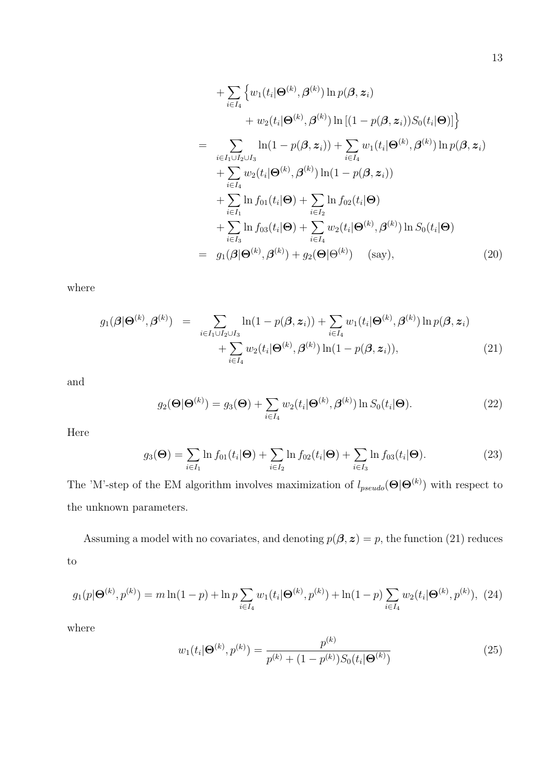+ 
$$
\sum_{i \in I_4} \left\{ w_1(t_i | \Theta^{(k)}, \beta^{(k)}) \ln p(\beta, z_i) + w_2(t_i | \Theta^{(k)}, \beta^{(k)}) \ln \left[ (1 - p(\beta, z_i)) S_0(t_i | \Theta) \right] \right\}
$$
  
\n= 
$$
\sum_{i \in I_1 \cup I_2 \cup I_3} \ln(1 - p(\beta, z_i)) + \sum_{i \in I_4} w_1(t_i | \Theta^{(k)}, \beta^{(k)}) \ln p(\beta, z_i) + \sum_{i \in I_4} w_2(t_i | \Theta^{(k)}, \beta^{(k)}) \ln(1 - p(\beta, z_i)) + \sum_{i \in I_1} \ln f_{01}(t_i | \Theta) + \sum_{i \in I_2} \ln f_{02}(t_i | \Theta) + \sum_{i \in I_3} w_2(t_i | \Theta^{(k)}, \beta^{(k)}) \ln S_0(t_i | \Theta)
$$
  
\n= 
$$
g_1(\beta | \Theta^{(k)}, \beta^{(k)}) + g_2(\Theta | \Theta^{(k)}) \quad \text{(say)}, \quad (20)
$$

where

$$
g_1(\boldsymbol{\beta}|\Theta^{(k)},\boldsymbol{\beta}^{(k)}) = \sum_{i \in I_1 \cup I_2 \cup I_3} \ln(1 - p(\boldsymbol{\beta}, \boldsymbol{z}_i)) + \sum_{i \in I_4} w_1(t_i|\Theta^{(k)},\boldsymbol{\beta}^{(k)}) \ln p(\boldsymbol{\beta}, \boldsymbol{z}_i) + \sum_{i \in I_4} w_2(t_i|\Theta^{(k)},\boldsymbol{\beta}^{(k)}) \ln(1 - p(\boldsymbol{\beta}, \boldsymbol{z}_i)), \tag{21}
$$

and

$$
g_2(\mathbf{\Theta}|\mathbf{\Theta}^{(k)}) = g_3(\mathbf{\Theta}) + \sum_{i \in I_4} w_2(t_i|\mathbf{\Theta}^{(k)}, \mathbf{\beta}^{(k)}) \ln S_0(t_i|\mathbf{\Theta}). \tag{22}
$$

Here

$$
g_3(\mathbf{\Theta}) = \sum_{i \in I_1} \ln f_{01}(t_i | \mathbf{\Theta}) + \sum_{i \in I_2} \ln f_{02}(t_i | \mathbf{\Theta}) + \sum_{i \in I_3} \ln f_{03}(t_i | \mathbf{\Theta}).
$$
 (23)

The 'M'-step of the EM algorithm involves maximization of  $l_{pseudo}(\Theta|\Theta^{(k)})$  with respect to the unknown parameters.

Assuming a model with no covariates, and denoting  $p(\beta, z) = p$ , the function (21) reduces to

$$
g_1(p|\Theta^{(k)}, p^{(k)}) = m \ln(1-p) + \ln p \sum_{i \in I_4} w_1(t_i|\Theta^{(k)}, p^{(k)}) + \ln(1-p) \sum_{i \in I_4} w_2(t_i|\Theta^{(k)}, p^{(k)}), \tag{24}
$$

where

$$
w_1(t_i|\Theta^{(k)}, p^{(k)}) = \frac{p^{(k)}}{p^{(k)} + (1 - p^{(k)})S_0(t_i|\Theta^{(k)})}
$$
(25)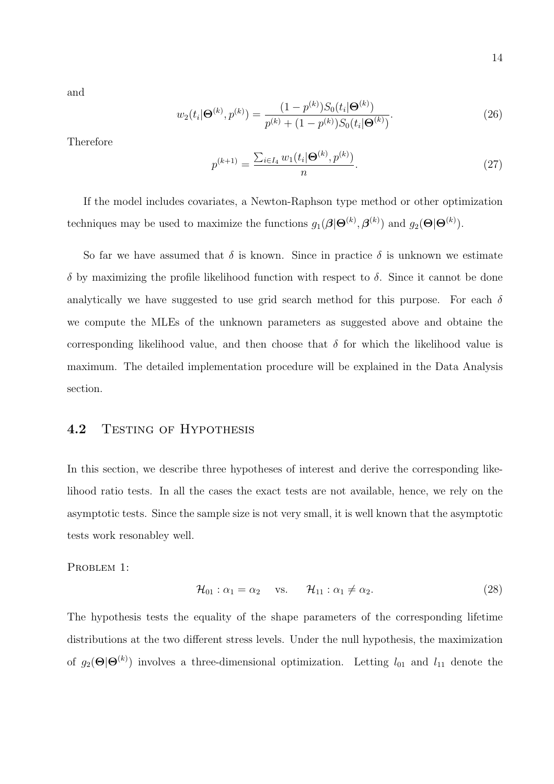and

$$
w_2(t_i|\mathbf{\Theta}^{(k)}, p^{(k)}) = \frac{(1-p^{(k)})S_0(t_i|\mathbf{\Theta}^{(k)})}{p^{(k)} + (1-p^{(k)})S_0(t_i|\mathbf{\Theta}^{(k)})}.
$$
\n(26)

Therefore

$$
p^{(k+1)} = \frac{\sum_{i \in I_4} w_1(t_i | \Theta^{(k)}, p^{(k)})}{n}.
$$
\n(27)

If the model includes covariates, a Newton-Raphson type method or other optimization techniques may be used to maximize the functions  $g_1(\boldsymbol{\beta}|\boldsymbol{\Theta}^{(k)}, \boldsymbol{\beta}^{(k)})$  and  $g_2(\boldsymbol{\Theta}|\boldsymbol{\Theta}^{(k)})$ .

So far we have assumed that  $\delta$  is known. Since in practice  $\delta$  is unknown we estimate δ by maximizing the profile likelihood function with respect to δ. Since it cannot be done analytically we have suggested to use grid search method for this purpose. For each  $\delta$ we compute the MLEs of the unknown parameters as suggested above and obtaine the corresponding likelihood value, and then choose that  $\delta$  for which the likelihood value is maximum. The detailed implementation procedure will be explained in the Data Analysis section.

#### 4.2 TESTING OF HYPOTHESIS

In this section, we describe three hypotheses of interest and derive the corresponding likelihood ratio tests. In all the cases the exact tests are not available, hence, we rely on the asymptotic tests. Since the sample size is not very small, it is well known that the asymptotic tests work resonabley well.

PROBLEM 1:

$$
\mathcal{H}_{01} : \alpha_1 = \alpha_2 \quad \text{vs.} \quad \mathcal{H}_{11} : \alpha_1 \neq \alpha_2. \tag{28}
$$

The hypothesis tests the equality of the shape parameters of the corresponding lifetime distributions at the two different stress levels. Under the null hypothesis, the maximization of  $g_2(\Theta|\Theta^{(k)})$  involves a three-dimensional optimization. Letting  $l_{01}$  and  $l_{11}$  denote the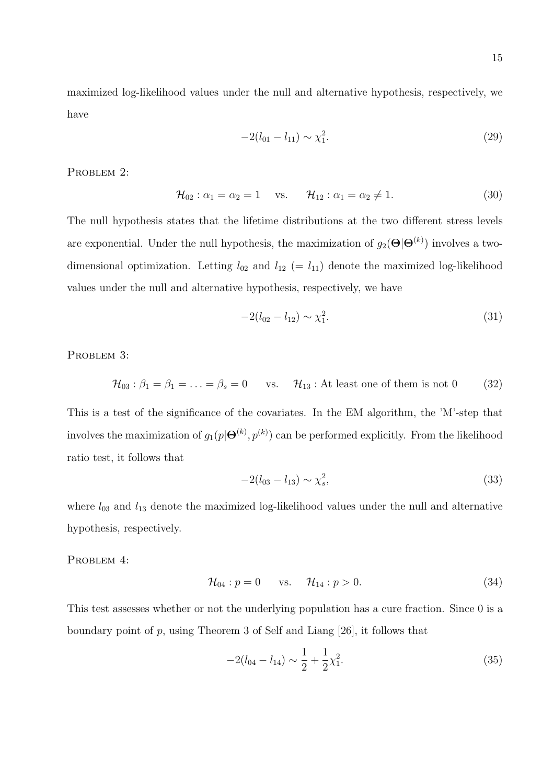maximized log-likelihood values under the null and alternative hypothesis, respectively, we have

$$
-2(l_{01} - l_{11}) \sim \chi_1^2. \tag{29}
$$

PROBLEM 2:

$$
\mathcal{H}_{02} : \alpha_1 = \alpha_2 = 1 \quad \text{vs.} \quad \mathcal{H}_{12} : \alpha_1 = \alpha_2 \neq 1. \tag{30}
$$

The null hypothesis states that the lifetime distributions at the two different stress levels are exponential. Under the null hypothesis, the maximization of  $g_2(\Theta|\Theta^{(k)})$  involves a twodimensional optimization. Letting  $l_{02}$  and  $l_{12} (= l_{11})$  denote the maximized log-likelihood values under the null and alternative hypothesis, respectively, we have

$$
-2(l_{02} - l_{12}) \sim \chi_1^2. \tag{31}
$$

PROBLEM 3:

$$
\mathcal{H}_{03} : \beta_1 = \beta_1 = \ldots = \beta_s = 0 \quad \text{vs.} \quad \mathcal{H}_{13} : \text{At least one of them is not 0} \tag{32}
$$

This is a test of the significance of the covariates. In the EM algorithm, the 'M'-step that involves the maximization of  $g_1(p|\mathbf{\Theta}^{(k)}, p^{(k)})$  can be performed explicitly. From the likelihood ratio test, it follows that

$$
-2(l_{03} - l_{13}) \sim \chi_s^2,\tag{33}
$$

where  $l_{03}$  and  $l_{13}$  denote the maximized log-likelihood values under the null and alternative hypothesis, respectively.

PROBLEM 4:

$$
\mathcal{H}_{04} : p = 0 \quad \text{vs.} \quad \mathcal{H}_{14} : p > 0. \tag{34}
$$

This test assesses whether or not the underlying population has a cure fraction. Since 0 is a boundary point of p, using Theorem 3 of Self and Liang [26], it follows that

$$
-2(l_{04} - l_{14}) \sim \frac{1}{2} + \frac{1}{2}\chi_1^2.
$$
\n(35)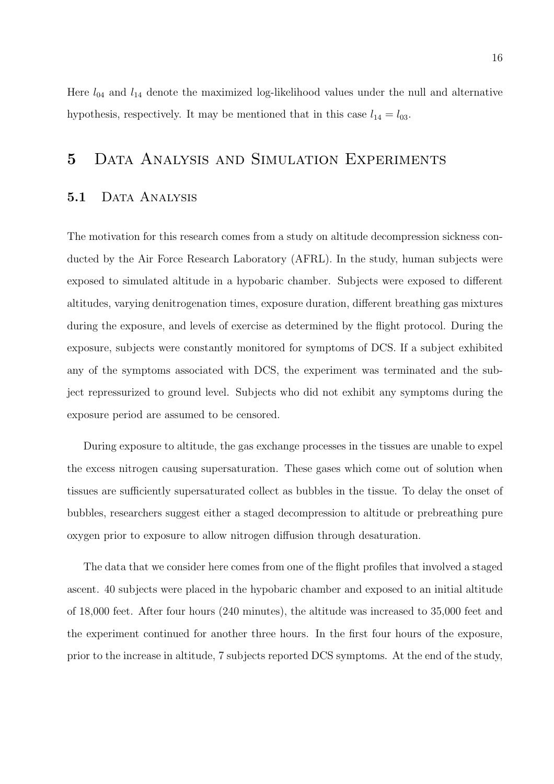Here  $l_{04}$  and  $l_{14}$  denote the maximized log-likelihood values under the null and alternative hypothesis, respectively. It may be mentioned that in this case  $l_{14} = l_{03}$ .

## 5 Data Analysis and Simulation Experiments

#### 5.1 DATA ANALYSIS

The motivation for this research comes from a study on altitude decompression sickness conducted by the Air Force Research Laboratory (AFRL). In the study, human subjects were exposed to simulated altitude in a hypobaric chamber. Subjects were exposed to different altitudes, varying denitrogenation times, exposure duration, different breathing gas mixtures during the exposure, and levels of exercise as determined by the flight protocol. During the exposure, subjects were constantly monitored for symptoms of DCS. If a subject exhibited any of the symptoms associated with DCS, the experiment was terminated and the subject repressurized to ground level. Subjects who did not exhibit any symptoms during the exposure period are assumed to be censored.

During exposure to altitude, the gas exchange processes in the tissues are unable to expel the excess nitrogen causing supersaturation. These gases which come out of solution when tissues are sufficiently supersaturated collect as bubbles in the tissue. To delay the onset of bubbles, researchers suggest either a staged decompression to altitude or prebreathing pure oxygen prior to exposure to allow nitrogen diffusion through desaturation.

The data that we consider here comes from one of the flight profiles that involved a staged ascent. 40 subjects were placed in the hypobaric chamber and exposed to an initial altitude of 18,000 feet. After four hours (240 minutes), the altitude was increased to 35,000 feet and the experiment continued for another three hours. In the first four hours of the exposure, prior to the increase in altitude, 7 subjects reported DCS symptoms. At the end of the study,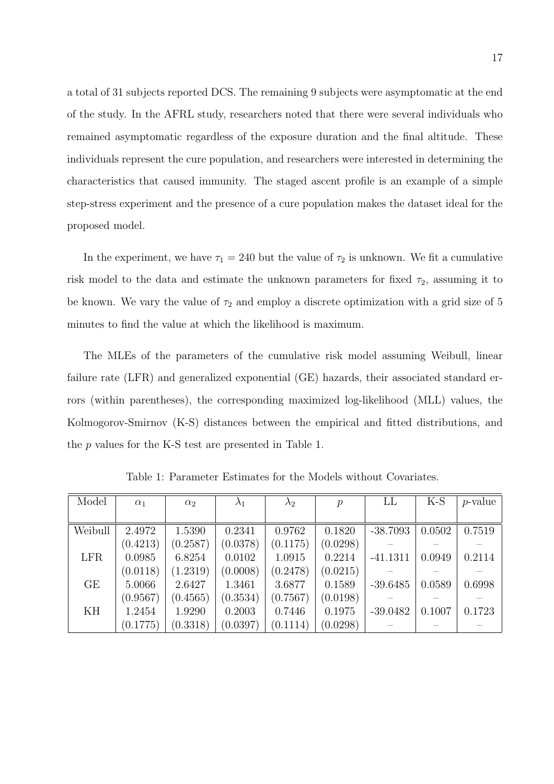a total of 31 subjects reported DCS. The remaining 9 subjects were asymptomatic at the end of the study. In the AFRL study, researchers noted that there were several individuals who remained asymptomatic regardless of the exposure duration and the final altitude. These individuals represent the cure population, and researchers were interested in determining the characteristics that caused immunity. The staged ascent profile is an example of a simple step-stress experiment and the presence of a cure population makes the dataset ideal for the proposed model.

In the experiment, we have  $\tau_1 = 240$  but the value of  $\tau_2$  is unknown. We fit a cumulative risk model to the data and estimate the unknown parameters for fixed  $\tau_2$ , assuming it to be known. We vary the value of  $\tau_2$  and employ a discrete optimization with a grid size of 5 minutes to find the value at which the likelihood is maximum.

The MLEs of the parameters of the cumulative risk model assuming Weibull, linear failure rate (LFR) and generalized exponential (GE) hazards, their associated standard errors (within parentheses), the corresponding maximized log-likelihood (MLL) values, the Kolmogorov-Smirnov (K-S) distances between the empirical and fitted distributions, and the p values for the K-S test are presented in Table 1.

| Model      | $\alpha_1$ | $\alpha_2$ | $\lambda_1$ | $\lambda_2$ | $\mathcal{p}$ | LL         | $K-S$  | $p$ -value |
|------------|------------|------------|-------------|-------------|---------------|------------|--------|------------|
|            |            |            |             |             |               |            |        |            |
| Weibull    | 2.4972     | 1.5390     | 0.2341      | 0.9762      | 0.1820        | $-38.7093$ | 0.0502 | 0.7519     |
|            | (0.4213)   | (0.2587)   | (0.0378)    | (0.1175)    | (0.0298)      |            |        |            |
| <b>LFR</b> | 0.0985     | 6.8254     | 0.0102      | 1.0915      | 0.2214        | $-41.1311$ | 0.0949 | 0.2114     |
|            | (0.0118)   | (1.2319)   | (0.0008)    | (0.2478)    | (0.0215)      |            |        |            |
| GE         | 5.0066     | 2.6427     | 1.3461      | 3.6877      | 0.1589        | $-39.6485$ | 0.0589 | 0.6998     |
|            | (0.9567)   | (0.4565)   | (0.3534)    | (0.7567)    | (0.0198)      |            |        |            |
| KH         | 1.2454     | 1.9290     | 0.2003      | 0.7446      | 0.1975        | $-39.0482$ | 0.1007 | 0.1723     |
|            | (0.1775)   | (0.3318)   | (0.0397)    | (0.1114)    | (0.0298)      |            |        |            |

Table 1: Parameter Estimates for the Models without Covariates.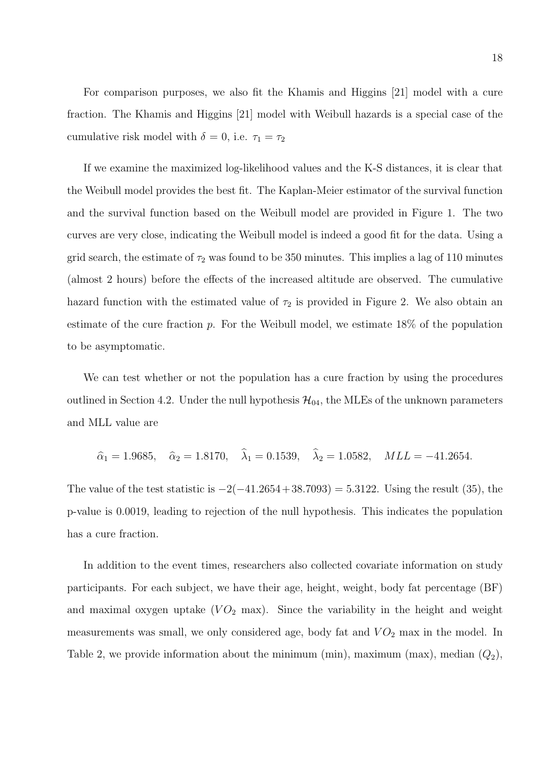For comparison purposes, we also fit the Khamis and Higgins [21] model with a cure fraction. The Khamis and Higgins [21] model with Weibull hazards is a special case of the cumulative risk model with  $\delta = 0$ , i.e.  $\tau_1 = \tau_2$ 

If we examine the maximized log-likelihood values and the K-S distances, it is clear that the Weibull model provides the best fit. The Kaplan-Meier estimator of the survival function and the survival function based on the Weibull model are provided in Figure 1. The two curves are very close, indicating the Weibull model is indeed a good fit for the data. Using a grid search, the estimate of  $\tau_2$  was found to be 350 minutes. This implies a lag of 110 minutes (almost 2 hours) before the effects of the increased altitude are observed. The cumulative hazard function with the estimated value of  $\tau_2$  is provided in Figure 2. We also obtain an estimate of the cure fraction  $p$ . For the Weibull model, we estimate  $18\%$  of the population to be asymptomatic.

We can test whether or not the population has a cure fraction by using the procedures outlined in Section 4.2. Under the null hypothesis  $\mathcal{H}_{04}$ , the MLEs of the unknown parameters and MLL value are

$$
\hat{\alpha}_1 = 1.9685
$$
,  $\hat{\alpha}_2 = 1.8170$ ,  $\hat{\lambda}_1 = 0.1539$ ,  $\hat{\lambda}_2 = 1.0582$ ,  $MLL = -41.2654$ .

The value of the test statistic is  $-2(-41.2654 + 38.7093) = 5.3122$ . Using the result (35), the p-value is 0.0019, leading to rejection of the null hypothesis. This indicates the population has a cure fraction.

In addition to the event times, researchers also collected covariate information on study participants. For each subject, we have their age, height, weight, body fat percentage (BF) and maximal oxygen uptake  $(VO_2 \text{ max})$ . Since the variability in the height and weight measurements was small, we only considered age, body fat and  $VO<sub>2</sub>$  max in the model. In Table 2, we provide information about the minimum (min), maximum (max), median  $(Q_2)$ ,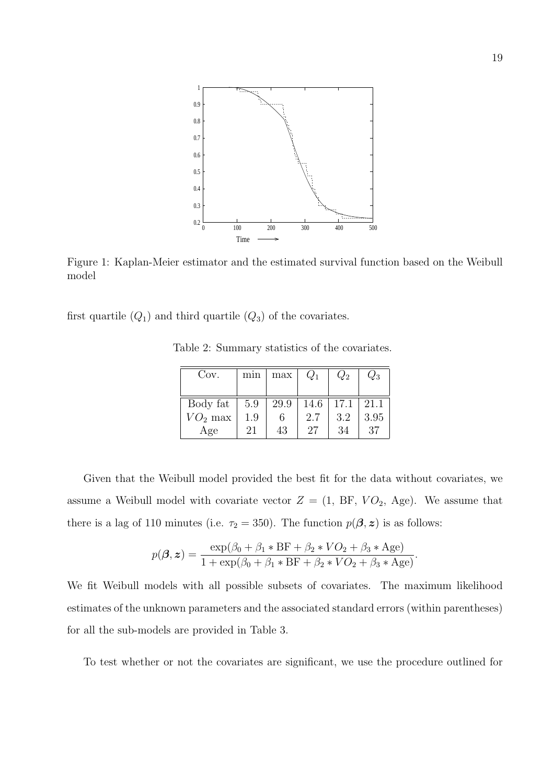

Figure 1: Kaplan-Meier estimator and the estimated survival function based on the Weibull model

first quartile  $(Q_1)$  and third quartile  $(Q_3)$  of the covariates.

| Cov.      | mın | max  | $Q_1$ | $Q_2$ | $Q_3$ |
|-----------|-----|------|-------|-------|-------|
|           |     |      |       |       |       |
| Body fat  | 5.9 | 29.9 | 14.6  | 17.1  | 21.1  |
| $VO2$ max | 1.9 | 6    | 2.7   | 3.2   | 3.95  |
| Age       | 21  | 43   | 27    | 34    | 37    |

Table 2: Summary statistics of the covariates.

Given that the Weibull model provided the best fit for the data without covariates, we assume a Weibull model with covariate vector  $Z = (1, BF, VO_2, Age)$ . We assume that there is a lag of 110 minutes (i.e.  $\tau_2 = 350$ ). The function  $p(\beta, z)$  is as follows:

$$
p(\boldsymbol{\beta}, \boldsymbol{z}) = \frac{\exp(\beta_0 + \beta_1 * \text{BF} + \beta_2 * VO_2 + \beta_3 * \text{Age})}{1 + \exp(\beta_0 + \beta_1 * \text{BF} + \beta_2 * VO_2 + \beta_3 * \text{Age})}.
$$

We fit Weibull models with all possible subsets of covariates. The maximum likelihood estimates of the unknown parameters and the associated standard errors (within parentheses) for all the sub-models are provided in Table 3.

To test whether or not the covariates are significant, we use the procedure outlined for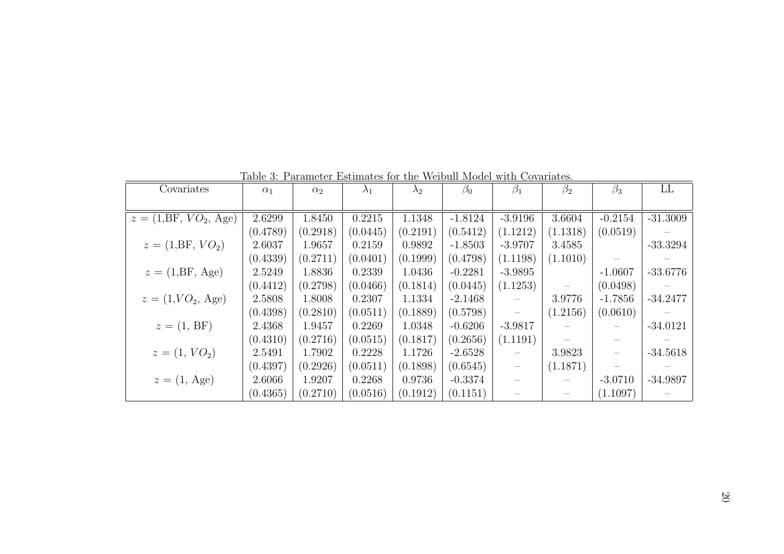| Covariates                       | $\alpha_1$ | $\alpha_2$ | $\lambda_1$ | $\lambda_2$ | $\beta_0$ | $\beta_1$ | $\beta_2$ | $\beta_3$ | LL         |
|----------------------------------|------------|------------|-------------|-------------|-----------|-----------|-----------|-----------|------------|
|                                  |            |            |             |             |           |           |           |           |            |
| $z = (1, \text{BF}, VO_2, Age)$  | 2.6299     | 1.8450     | 0.2215      | 1.1348      | $-1.8124$ | $-3.9196$ | 3.6604    | $-0.2154$ | $-31.3009$ |
|                                  | (0.4789)   | (0.2918)   | (0.0445)    | (0.2191)    | (0.5412)  | (1.1212)  | (1.1318)  | (0.0519)  |            |
| $z = (1, \text{BF}, VO_2)$       | 2.6037     | 1.9657     | 0.2159      | 0.9892      | $-1.8503$ | $-3.9707$ | 3.4585    |           | $-33.3294$ |
|                                  | (0.4339)   | (0.2711)   | (0.0401)    | (0.1999)    | (0.4798)  | (1.1198)  | (1.1010)  |           |            |
| $z = (1, \text{BF}, \text{Age})$ | 2.5249     | 1.8836     | 0.2339      | 1.0436      | $-0.2281$ | $-3.9895$ |           | $-1.0607$ | $-33.6776$ |
|                                  | (0.4412)   | (0.2798)   | (0.0466)    | (0.1814)    | (0.0445)  | (1.1253)  |           | (0.0498)  |            |
| $z = (1, VO_2, Age)$             | 2.5808     | 1.8008     | 0.2307      | 1.1334      | $-2.1468$ |           | 3.9776    | $-1.7856$ | $-34.2477$ |
|                                  | (0.4398)   | (0.2810)   | (0.0511)    | (0.1889)    | (0.5798)  |           | (1.2156)  | (0.0610)  |            |
| $z = (1, BF)$                    | 2.4368     | 1.9457     | 0.2269      | 1.0348      | $-0.6206$ | $-3.9817$ |           |           | $-34.0121$ |
|                                  | (0.4310)   | (0.2716)   | (0.0515)    | (0.1817)    | (0.2656)  | (1.1191)  |           |           |            |
| $z = (1, VO_2)$                  | 2.5491     | 1.7902     | 0.2228      | 1.1726      | $-2.6528$ |           | 3.9823    |           | $-34.5618$ |
|                                  | (0.4397)   | (0.2926)   | (0.0511)    | (0.1898)    | (0.6545)  |           | (1.1871)  |           |            |
| $z = (1, \text{Age})$            | 2.6066     | 1.9207     | 0.2268      | 0.9736      | $-0.3374$ |           |           | $-3.0710$ | $-34.9897$ |
|                                  | (0.4365)   | (0.2710)   | (0.0516)    | (0.1912)    | (0.1151)  |           |           | (1.1097)  |            |

Table 3: Parameter Estimates for the Weibull Model with Covariates.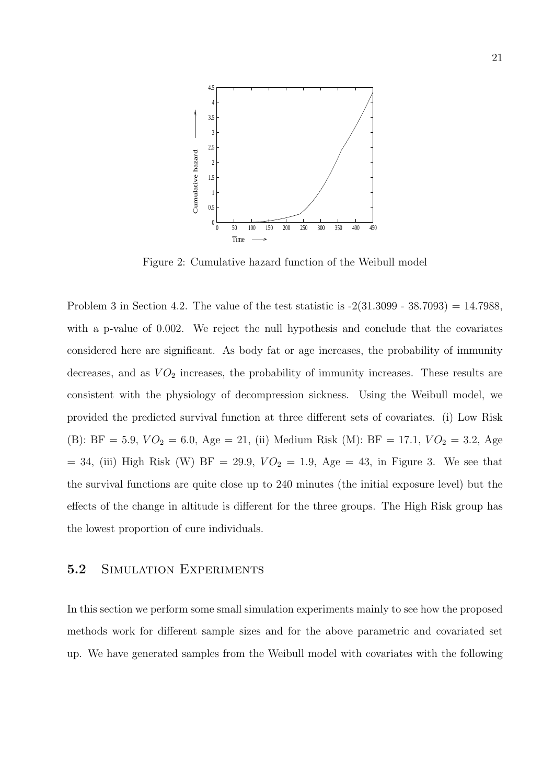

Figure 2: Cumulative hazard function of the Weibull model

Problem 3 in Section 4.2. The value of the test statistic is  $-2(31.3099 - 38.7093) = 14.7988$ , with a p-value of 0.002. We reject the null hypothesis and conclude that the covariates considered here are significant. As body fat or age increases, the probability of immunity decreases, and as  $VO<sub>2</sub>$  increases, the probability of immunity increases. These results are consistent with the physiology of decompression sickness. Using the Weibull model, we provided the predicted survival function at three different sets of covariates. (i) Low Risk (B): BF = 5.9,  $VO_2 = 6.0$ , Age = 21, (ii) Medium Risk (M): BF = 17.1,  $VO_2 = 3.2$ , Age  $= 34$ , (iii) High Risk (W) BF = 29.9,  $VO<sub>2</sub> = 1.9$ , Age = 43, in Figure 3. We see that the survival functions are quite close up to 240 minutes (the initial exposure level) but the effects of the change in altitude is different for the three groups. The High Risk group has the lowest proportion of cure individuals.

#### 5.2 SIMULATION EXPERIMENTS

In this section we perform some small simulation experiments mainly to see how the proposed methods work for different sample sizes and for the above parametric and covariated set up. We have generated samples from the Weibull model with covariates with the following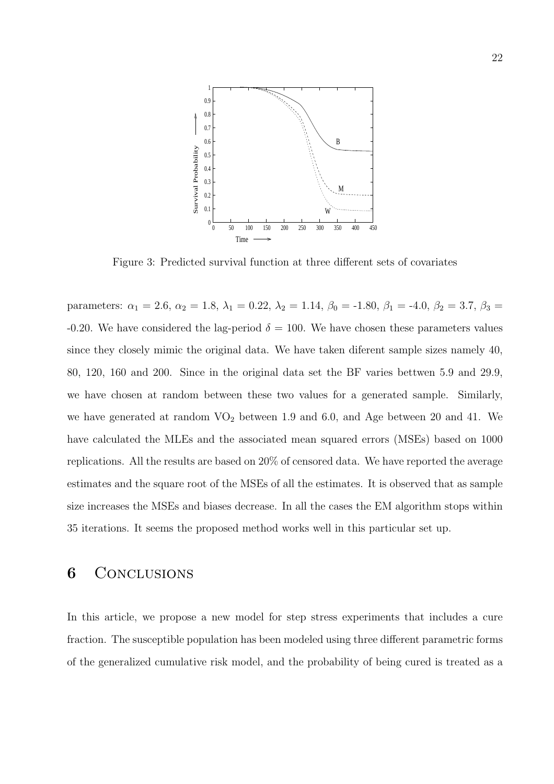

Figure 3: Predicted survival function at three different sets of covariates

parameters:  $\alpha_1 = 2.6$ ,  $\alpha_2 = 1.8$ ,  $\lambda_1 = 0.22$ ,  $\lambda_2 = 1.14$ ,  $\beta_0 = -1.80$ ,  $\beta_1 = -4.0$ ,  $\beta_2 = 3.7$ ,  $\beta_3 =$ -0.20. We have considered the lag-period  $\delta = 100$ . We have chosen these parameters values since they closely mimic the original data. We have taken diferent sample sizes namely 40, 80, 120, 160 and 200. Since in the original data set the BF varies bettwen 5.9 and 29.9, we have chosen at random between these two values for a generated sample. Similarly, we have generated at random  $VO<sub>2</sub>$  between 1.9 and 6.0, and Age between 20 and 41. We have calculated the MLEs and the associated mean squared errors (MSEs) based on 1000 replications. All the results are based on 20% of censored data. We have reported the average estimates and the square root of the MSEs of all the estimates. It is observed that as sample size increases the MSEs and biases decrease. In all the cases the EM algorithm stops within 35 iterations. It seems the proposed method works well in this particular set up.

## 6 CONCLUSIONS

In this article, we propose a new model for step stress experiments that includes a cure fraction. The susceptible population has been modeled using three different parametric forms of the generalized cumulative risk model, and the probability of being cured is treated as a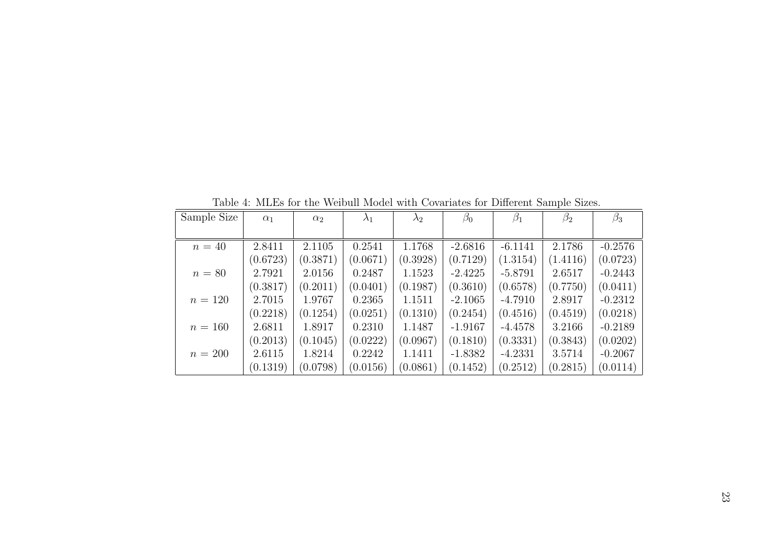| Sample Size | $\alpha_1$ | $\alpha_2$ | $\lambda_1$ | $\lambda_2$ | $\beta_0$ | $\beta_1$ | $\beta_2$ | $\beta_3$ |
|-------------|------------|------------|-------------|-------------|-----------|-----------|-----------|-----------|
|             |            |            |             |             |           |           |           |           |
| $n=40$      | 2.8411     | 2.1105     | 0.2541      | 1.1768      | $-2.6816$ | $-6.1141$ | 2.1786    | $-0.2576$ |
|             | (0.6723)   | (0.3871)   | (0.0671)    | (0.3928)    | (0.7129)  | (1.3154)  | (1.4116)  | (0.0723)  |
| $n=80$      | 2.7921     | 2.0156     | 0.2487      | 1.1523      | $-2.4225$ | $-5.8791$ | 2.6517    | $-0.2443$ |
|             | (0.3817)   | (0.2011)   | (0.0401)    | (0.1987)    | (0.3610)  | (0.6578)  | (0.7750)  | (0.0411)  |
| $n = 120$   | 2.7015     | 1.9767     | 0.2365      | 1.1511      | $-2.1065$ | $-4.7910$ | 2.8917    | $-0.2312$ |
|             | (0.2218)   | (0.1254)   | (0.0251)    | (0.1310)    | (0.2454)  | (0.4516)  | (0.4519)  | (0.0218)  |
| $n = 160$   | 2.6811     | 1.8917     | 0.2310      | 1.1487      | $-1.9167$ | $-4.4578$ | 3.2166    | $-0.2189$ |
|             | (0.2013)   | (0.1045)   | (0.0222)    | (0.0967)    | (0.1810)  | (0.3331)  | (0.3843)  | (0.0202)  |
| $n = 200$   | 2.6115     | 1.8214     | 0.2242      | 1.1411      | $-1.8382$ | $-4.2331$ | 3.5714    | $-0.2067$ |
|             | (0.1319)   | (0.0798)   | (0.0156)    | (0.0861)    | (0.1452)  | (0.2512)  | (0.2815)  | (0.0114)  |

Table 4: MLEs for the Weibull Model with Covariates for Different Sample Sizes.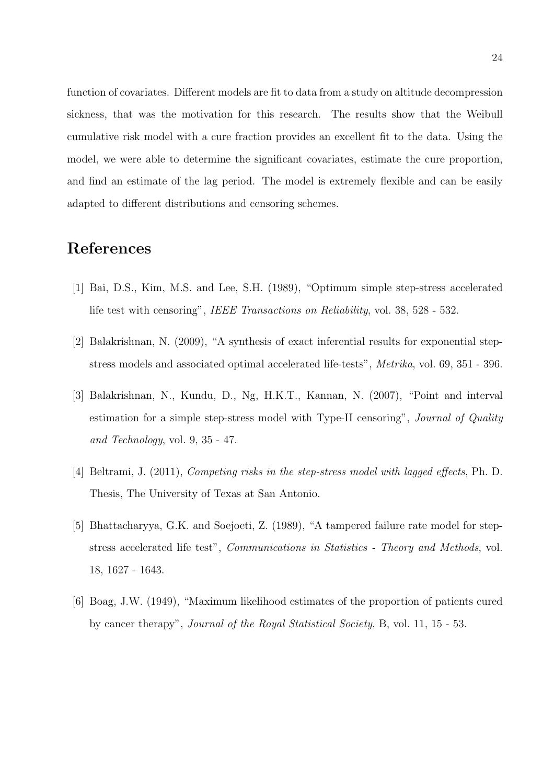function of covariates. Different models are fit to data from a study on altitude decompression sickness, that was the motivation for this research. The results show that the Weibull cumulative risk model with a cure fraction provides an excellent fit to the data. Using the model, we were able to determine the significant covariates, estimate the cure proportion, and find an estimate of the lag period. The model is extremely flexible and can be easily adapted to different distributions and censoring schemes.

## References

- [1] Bai, D.S., Kim, M.S. and Lee, S.H. (1989), "Optimum simple step-stress accelerated life test with censoring", IEEE Transactions on Reliability, vol. 38, 528 - 532.
- [2] Balakrishnan, N. (2009), "A synthesis of exact inferential results for exponential stepstress models and associated optimal accelerated life-tests", Metrika, vol. 69, 351 - 396.
- [3] Balakrishnan, N., Kundu, D., Ng, H.K.T., Kannan, N. (2007), "Point and interval estimation for a simple step-stress model with Type-II censoring", Journal of Quality and Technology, vol. 9, 35 - 47.
- [4] Beltrami, J. (2011), Competing risks in the step-stress model with lagged effects, Ph. D. Thesis, The University of Texas at San Antonio.
- [5] Bhattacharyya, G.K. and Soejoeti, Z. (1989), "A tampered failure rate model for stepstress accelerated life test", Communications in Statistics - Theory and Methods, vol. 18, 1627 - 1643.
- [6] Boag, J.W. (1949), "Maximum likelihood estimates of the proportion of patients cured by cancer therapy", Journal of the Royal Statistical Society, B, vol. 11, 15 - 53.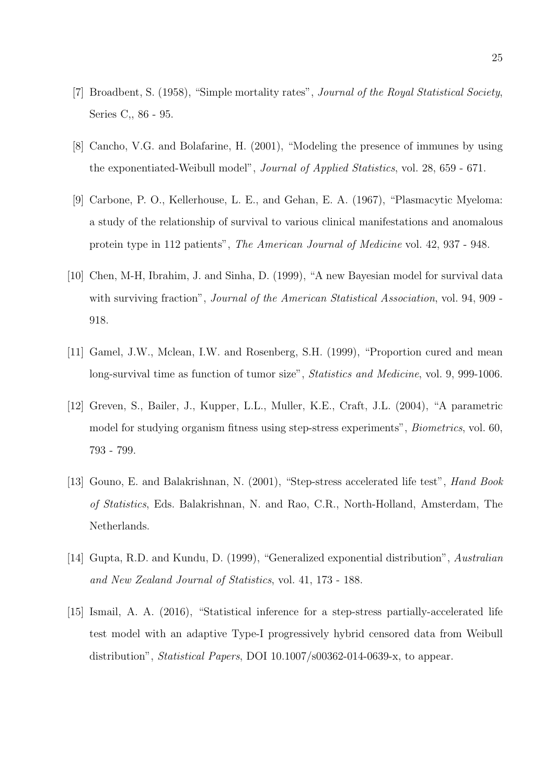- [7] Broadbent, S. (1958), "Simple mortality rates", Journal of the Royal Statistical Society, Series C,, 86 - 95.
- [8] Cancho, V.G. and Bolafarine, H. (2001), "Modeling the presence of immunes by using the exponentiated-Weibull model", Journal of Applied Statistics, vol. 28, 659 - 671.
- [9] Carbone, P. O., Kellerhouse, L. E., and Gehan, E. A. (1967), "Plasmacytic Myeloma: a study of the relationship of survival to various clinical manifestations and anomalous protein type in 112 patients", The American Journal of Medicine vol. 42, 937 - 948.
- [10] Chen, M-H, Ibrahim, J. and Sinha, D. (1999), "A new Bayesian model for survival data with surviving fraction", *Journal of the American Statistical Association*, vol. 94, 909 -918.
- [11] Gamel, J.W., Mclean, I.W. and Rosenberg, S.H. (1999), "Proportion cured and mean long-survival time as function of tumor size", Statistics and Medicine, vol. 9, 999-1006.
- [12] Greven, S., Bailer, J., Kupper, L.L., Muller, K.E., Craft, J.L. (2004), "A parametric model for studying organism fitness using step-stress experiments", Biometrics, vol. 60, 793 - 799.
- [13] Gouno, E. and Balakrishnan, N. (2001), "Step-stress accelerated life test", Hand Book of Statistics, Eds. Balakrishnan, N. and Rao, C.R., North-Holland, Amsterdam, The Netherlands.
- [14] Gupta, R.D. and Kundu, D. (1999), "Generalized exponential distribution", Australian and New Zealand Journal of Statistics, vol. 41, 173 - 188.
- [15] Ismail, A. A. (2016), "Statistical inference for a step-stress partially-accelerated life test model with an adaptive Type-I progressively hybrid censored data from Weibull distribution", Statistical Papers, DOI 10.1007/s00362-014-0639-x, to appear.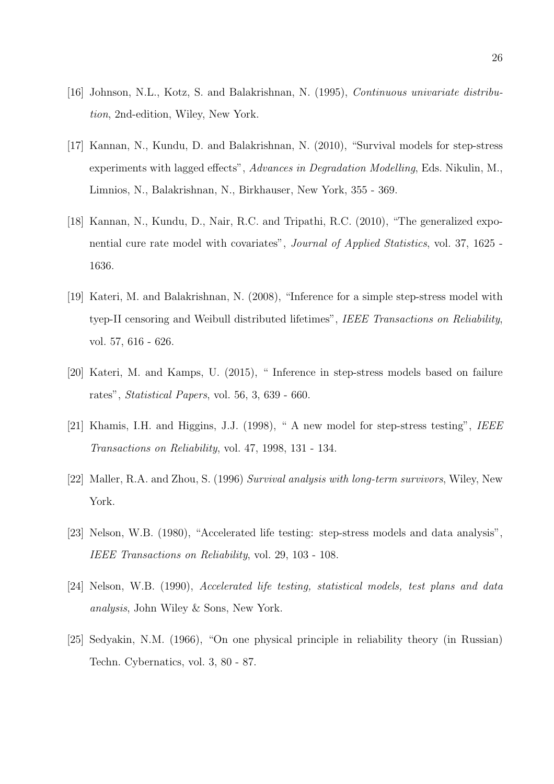- [16] Johnson, N.L., Kotz, S. and Balakrishnan, N. (1995), Continuous univariate distribution, 2nd-edition, Wiley, New York.
- [17] Kannan, N., Kundu, D. and Balakrishnan, N. (2010), "Survival models for step-stress experiments with lagged effects", Advances in Degradation Modelling, Eds. Nikulin, M., Limnios, N., Balakrishnan, N., Birkhauser, New York, 355 - 369.
- [18] Kannan, N., Kundu, D., Nair, R.C. and Tripathi, R.C. (2010), "The generalized exponential cure rate model with covariates", Journal of Applied Statistics, vol. 37, 1625 - 1636.
- [19] Kateri, M. and Balakrishnan, N. (2008), "Inference for a simple step-stress model with tyep-II censoring and Weibull distributed lifetimes", IEEE Transactions on Reliability, vol. 57, 616 - 626.
- [20] Kateri, M. and Kamps, U. (2015), " Inference in step-stress models based on failure rates", Statistical Papers, vol. 56, 3, 639 - 660.
- [21] Khamis, I.H. and Higgins, J.J. (1998), " A new model for step-stress testing", IEEE Transactions on Reliability, vol. 47, 1998, 131 - 134.
- [22] Maller, R.A. and Zhou, S. (1996) Survival analysis with long-term survivors, Wiley, New York.
- [23] Nelson, W.B. (1980), "Accelerated life testing: step-stress models and data analysis", IEEE Transactions on Reliability, vol. 29, 103 - 108.
- [24] Nelson, W.B. (1990), Accelerated life testing, statistical models, test plans and data analysis, John Wiley & Sons, New York.
- [25] Sedyakin, N.M. (1966), "On one physical principle in reliability theory (in Russian) Techn. Cybernatics, vol. 3, 80 - 87.